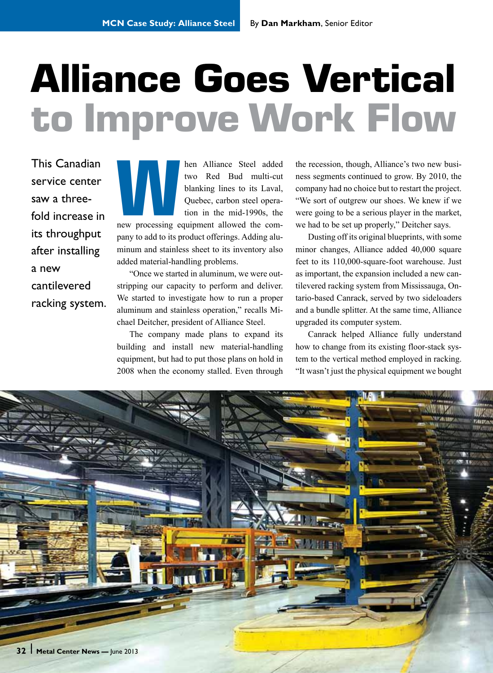## **Alliance Goes Vertical to Improve Work Flow**

This Canadian service center saw a threefold increase in its throughput after installing a new cantilevered racking system. **Manufarica Steel added**<br>
two Red Bud multi-cut<br>
blanking lines to its Laval,<br>
Quebec, carbon steel opera-<br>
tion in the mid-1990s, the<br>
new processing equipment allowed the comtwo Red Bud multi-cut blanking lines to its Laval, Quebec, carbon steel operation in the mid-1990s, the pany to add to its product offerings. Adding aluminum and stainless sheet to its inventory also

"Once we started in aluminum, we were outstripping our capacity to perform and deliver. We started to investigate how to run a proper aluminum and stainless operation," recalls Michael Deitcher, president of Alliance Steel.

added material-handling problems.

The company made plans to expand its building and install new material-handling equipment, but had to put those plans on hold in 2008 when the economy stalled. Even through

the recession, though, Alliance's two new business segments continued to grow. By 2010, the company had no choice but to restart the project. "We sort of outgrew our shoes. We knew if we were going to be a serious player in the market, we had to be set up properly," Deitcher says.

Dusting off its original blueprints, with some minor changes, Alliance added 40,000 square feet to its 110,000-square-foot warehouse. Just as important, the expansion included a new cantilevered racking system from Mississauga, Ontario-based Canrack, served by two sideloaders and a bundle splitter. At the same time, Alliance upgraded its computer system.

Canrack helped Alliance fully understand how to change from its existing floor-stack system to the vertical method employed in racking. "It wasn't just the physical equipment we bought

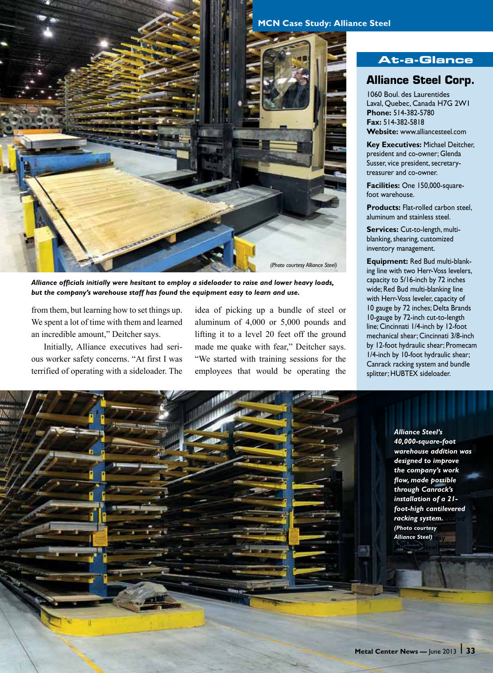

*Alliance officials initially were hesitant to employ a sideloader to raise and lower heavy loads, but the company's warehouse staff has found the equipment easy to learn and use.* 

from them, but learning how to set things up. We spent a lot of time with them and learned an incredible amount," Deitcher says.

Initially, Alliance executives had serious worker safety concerns. "At first I was terrified of operating with a sideloader. The

idea of picking up a bundle of steel or aluminum of 4,000 or 5,000 pounds and lifting it to a level 20 feet off the ground made me quake with fear," Deitcher says. "We started with training sessions for the employees that would be operating the

## **MCN Case Study: Alliance Steel**

## **At-a-Glance**

## **Alliance Steel Corp.**

1060 Boul. des Laurentides Laval, Quebec, Canada H7G 2W1 **Phone:** 514-382-5780 **Fax:** 514-382-5818 **Website:** www.alliancesteel.com

**Key Executives:** Michael Deitcher, president and co-owner; Glenda Susser, vice president, secretarytreasurer and co-owner.

**Facilities:** One 150,000-squarefoot warehouse.

**Products:** Flat-rolled carbon steel, aluminum and stainless steel.

**Services:** Cut-to-length, multiblanking, shearing, customized inventory management.

**Equipment:** Red Bud multi-blanking line with two Herr-Voss levelers, capacity to 5/16-inch by 72 inches wide; Red Bud multi-blanking line with Herr-Voss leveler, capacity of 10 gauge by 72 inches; Delta Brands 10-gauge by 72-inch cut-to-length line; Cincinnati 1/4-inch by 12-foot mechanical shear; Cincinnati 3/8-inch by 12-foot hydraulic shear; Promecam 1/4-inch by 10-foot hydraulic shear; Canrack racking system and bundle splitter; HUBTEX sideloader.

> *Alliance Steel's 40,000-square-foot 40,000-square-foot warehouse addition was warehouse addition was designed to improve*  the company's work *the company's work the company's work flow, made possible flow, made possible through Canrack's through Canrack's installation of a 21 installation of a 21- foot-high cantilevered foot-high cantilevered racking system. racking system. (Photo courtesy (Photo courtesy Alliance Steel) Alliance Steel) Alliance Steel's*